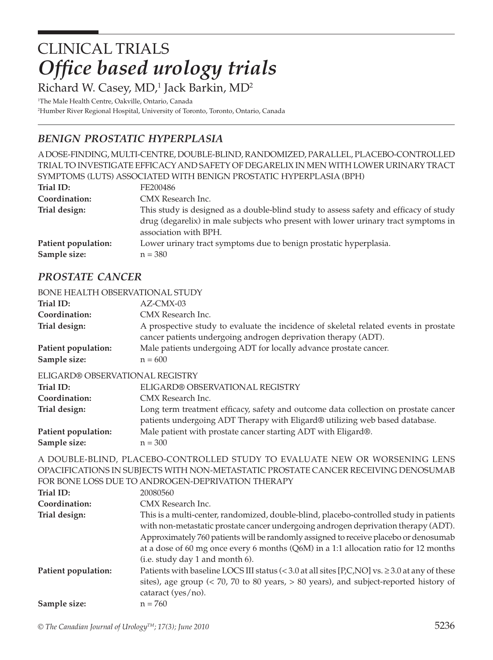# CLINICAL TRIALS **Office based urology trials**

Richard W. Casey, MD,<sup>1</sup> Jack Barkin, MD<sup>2</sup>

1 The Male Health Centre, Oakville, Ontario, Canada 2 Humber River Regional Hospital, University of Toronto, Toronto, Ontario, Canada

## *BENIGN PROSTATIC HYPERPLASIA*

A DOSE-FINDING, MULTI-CENTRE, DOUBLE-BLIND, RANDOMIZED, PARALLEL, PLACEBO-CONTROLLED TRIAL TO INVESTIGATE EFFICACY AND SAFETY OF DEGARELIX IN MEN WITH LOWER URINARY TRACT SYMPTOMS (LUTS) ASSOCIATED WITH BENIGN PROSTATIC HYPERPLASIA (BPH)

| Trial ID:           | FE200486                                                                                                                                                                                             |
|---------------------|------------------------------------------------------------------------------------------------------------------------------------------------------------------------------------------------------|
| Coordination:       | CMX Research Inc.                                                                                                                                                                                    |
| Trial design:       | This study is designed as a double-blind study to assess safety and efficacy of study<br>drug (degarelix) in male subjects who present with lower urinary tract symptoms in<br>association with BPH. |
| Patient population: | Lower urinary tract symptoms due to benign prostatic hyperplasia.                                                                                                                                    |
| Sample size:        | $n = 380$                                                                                                                                                                                            |

## *PROSTATE CANCER*

#### BONE HEALTH OBSERVATIONAL STUDY

| Trial ID:                           | $AZ-CMX-03$                                                                                                                                            |
|-------------------------------------|--------------------------------------------------------------------------------------------------------------------------------------------------------|
| Coordination:                       | CMX Research Inc.                                                                                                                                      |
| Trial design:                       | A prospective study to evaluate the incidence of skeletal related events in prostate<br>cancer patients undergoing androgen deprivation therapy (ADT). |
| Patient population:<br>Sample size: | Male patients undergoing ADT for locally advance prostate cancer.<br>$n = 600$                                                                         |

#### ELIGARD® OBSERVATIONAL REGISTRY

| ELIGARD® OBSERVATIONAL REGISTRY                                                     |
|-------------------------------------------------------------------------------------|
| CMX Research Inc.                                                                   |
| Long term treatment efficacy, safety and outcome data collection on prostate cancer |
| patients undergoing ADT Therapy with Eligard® utilizing web based database.         |
| Male patient with prostate cancer starting ADT with Eligard®.                       |
| $n = 300$                                                                           |
|                                                                                     |

A DOUBLE-BLIND, PLACEBO-CONTROLLED STUDY TO EVALUATE NEW OR WORSENING LENS OPACIFICATIONS IN SUBJECTS WITH NON-METASTATIC PROSTATE CANCER RECEIVING DENOSUMAB FOR BONE LOSS DUE TO ANDROGEN-DEPRIVATION THERAPY

| Trial ID:<br>Coordination: | 20080560<br>CMX Research Inc.                                                                                                                                                                                                                                        |
|----------------------------|----------------------------------------------------------------------------------------------------------------------------------------------------------------------------------------------------------------------------------------------------------------------|
|                            |                                                                                                                                                                                                                                                                      |
| Trial design:              | This is a multi-center, randomized, double-blind, placebo-controlled study in patients<br>with non-metastatic prostate cancer undergoing androgen deprivation therapy (ADT).<br>Approximately 760 patients will be randomly assigned to receive placebo or denosumab |
|                            | at a dose of 60 mg once every 6 months $(Q6M)$ in a 1:1 allocation ratio for 12 months<br>(i.e. study day 1 and month 6).                                                                                                                                            |
| Patient population:        | Patients with baseline LOCS III status (< 3.0 at all sites [P,C,NO] vs. $\geq$ 3.0 at any of these<br>sites), age group $\left($ < 70, 70 to 80 years, $> 80$ years), and subject-reported history of<br>cataract (yes/no).                                          |
| Sample size:               | $n = 760$                                                                                                                                                                                                                                                            |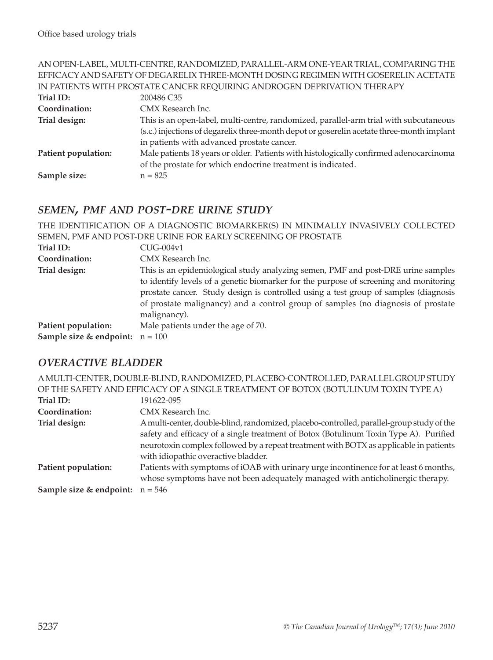| Conordination | CMY Research Inc.                                                                   |
|---------------|-------------------------------------------------------------------------------------|
| Trial ID:     | 200486 C <sub>35</sub>                                                              |
|               | IN PATIENTS WITH PROSTATE CANCER REQUIRING ANDROGEN DEPRIVATION THERAPY             |
|               | EFFICACY AND SAFETY OF DEGARELIX THREE-MONTH DOSING REGIMEN WITH GOSERELIN ACETATE  |
|               | AN OPEN-LABEL, MULTI-CENTRE, RANDOMIZED, PARALLEL-ARM ONE-YEAR TRIAL, COMPARING THE |

| Coordination:       | CMX Research Inc.                                                                         |
|---------------------|-------------------------------------------------------------------------------------------|
| Trial design:       | This is an open-label, multi-centre, randomized, parallel-arm trial with subcutaneous     |
|                     | (s.c.) injections of degarelix three-month depot or goserelin acetate three-month implant |
|                     | in patients with advanced prostate cancer.                                                |
| Patient population: | Male patients 18 years or older. Patients with histologically confirmed adenocarcinoma    |
|                     | of the prostate for which endocrine treatment is indicated.                               |
| Sample size:        | $n = 825$                                                                                 |

## *SEMEN, PMF AND POST-DRE URINE STUDY*

|                                              | THE IDENTIFICATION OF A DIAGNOSTIC BIOMARKER(S) IN MINIMALLY INVASIVELY COLLECTED                                                                                                                                                                                                                                                                                     |
|----------------------------------------------|-----------------------------------------------------------------------------------------------------------------------------------------------------------------------------------------------------------------------------------------------------------------------------------------------------------------------------------------------------------------------|
|                                              | SEMEN, PMF AND POST-DRE URINE FOR EARLY SCREENING OF PROSTATE                                                                                                                                                                                                                                                                                                         |
| Trial ID:                                    | $CUG-004v1$                                                                                                                                                                                                                                                                                                                                                           |
| Coordination:                                | CMX Research Inc.                                                                                                                                                                                                                                                                                                                                                     |
| Trial design:                                | This is an epidemiological study analyzing semen, PMF and post-DRE urine samples<br>to identify levels of a genetic biomarker for the purpose of screening and monitoring<br>prostate cancer. Study design is controlled using a test group of samples (diagnosis<br>of prostate malignancy) and a control group of samples (no diagnosis of prostate<br>malignancy). |
| Patient population:                          | Male patients under the age of 70.                                                                                                                                                                                                                                                                                                                                    |
| <b>Sample size &amp; endpoint:</b> $n = 100$ |                                                                                                                                                                                                                                                                                                                                                                       |

## *OVERACTIVE BLADDER*

|                                              | A MULTI-CENTER, DOUBLE-BLIND, RANDOMIZED, PLACEBO-CONTROLLED, PARALLEL GROUP STUDY                                                                                                                                                                                          |
|----------------------------------------------|-----------------------------------------------------------------------------------------------------------------------------------------------------------------------------------------------------------------------------------------------------------------------------|
|                                              | OF THE SAFETY AND EFFICACY OF A SINGLE TREATMENT OF BOTOX (BOTULINUM TOXIN TYPE A)                                                                                                                                                                                          |
| Trial ID:                                    | 191622-095                                                                                                                                                                                                                                                                  |
| Coordination:                                | CMX Research Inc.                                                                                                                                                                                                                                                           |
| Trial design:                                | A multi-center, double-blind, randomized, placebo-controlled, parallel-group study of the<br>safety and efficacy of a single treatment of Botox (Botulinum Toxin Type A). Purified<br>neurotoxin complex followed by a repeat treatment with BOTX as applicable in patients |
|                                              | with idiopathic overactive bladder.                                                                                                                                                                                                                                         |
| Patient population:                          | Patients with symptoms of iOAB with urinary urge incontinence for at least 6 months,<br>whose symptoms have not been adequately managed with anticholinergic therapy.                                                                                                       |
| <b>Sample size &amp; endpoint:</b> $n = 546$ |                                                                                                                                                                                                                                                                             |